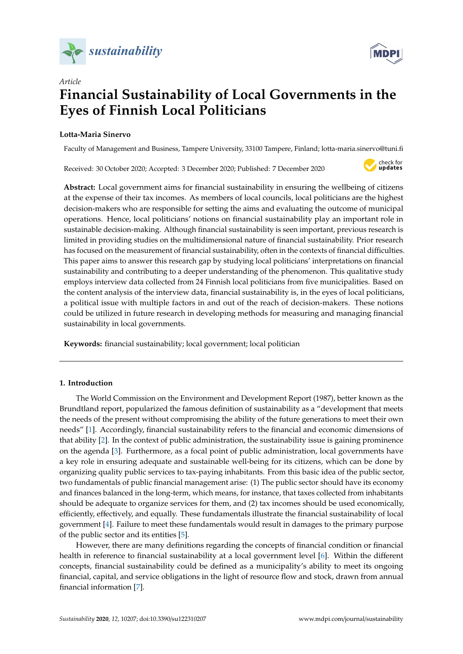



# *Article* **Financial Sustainability of Local Governments in the Eyes of Finnish Local Politicians**

# **Lotta-Maria Sinervo**

Faculty of Management and Business, Tampere University, 33100 Tampere, Finland; lotta-maria.sinervo@tuni.fi

Received: 30 October 2020; Accepted: 3 December 2020; Published: 7 December 2020



**Abstract:** Local government aims for financial sustainability in ensuring the wellbeing of citizens at the expense of their tax incomes. As members of local councils, local politicians are the highest decision-makers who are responsible for setting the aims and evaluating the outcome of municipal operations. Hence, local politicians' notions on financial sustainability play an important role in sustainable decision-making. Although financial sustainability is seen important, previous research is limited in providing studies on the multidimensional nature of financial sustainability. Prior research has focused on the measurement of financial sustainability, often in the contexts of financial difficulties. This paper aims to answer this research gap by studying local politicians' interpretations on financial sustainability and contributing to a deeper understanding of the phenomenon. This qualitative study employs interview data collected from 24 Finnish local politicians from five municipalities. Based on the content analysis of the interview data, financial sustainability is, in the eyes of local politicians, a political issue with multiple factors in and out of the reach of decision-makers. These notions could be utilized in future research in developing methods for measuring and managing financial sustainability in local governments.

**Keywords:** financial sustainability; local government; local politician

## **1. Introduction**

The World Commission on the Environment and Development Report (1987), better known as the Brundtland report, popularized the famous definition of sustainability as a "development that meets the needs of the present without compromising the ability of the future generations to meet their own needs" [\[1\]](#page-13-0). Accordingly, financial sustainability refers to the financial and economic dimensions of that ability [\[2\]](#page-13-1). In the context of public administration, the sustainability issue is gaining prominence on the agenda [\[3\]](#page-13-2). Furthermore, as a focal point of public administration, local governments have a key role in ensuring adequate and sustainable well-being for its citizens, which can be done by organizing quality public services to tax-paying inhabitants. From this basic idea of the public sector, two fundamentals of public financial management arise: (1) The public sector should have its economy and finances balanced in the long-term, which means, for instance, that taxes collected from inhabitants should be adequate to organize services for them, and (2) tax incomes should be used economically, efficiently, effectively, and equally. These fundamentals illustrate the financial sustainability of local government [\[4\]](#page-13-3). Failure to meet these fundamentals would result in damages to the primary purpose of the public sector and its entities [\[5\]](#page-13-4).

However, there are many definitions regarding the concepts of financial condition or financial health in reference to financial sustainability at a local government level [\[6\]](#page-13-5). Within the different concepts, financial sustainability could be defined as a municipality's ability to meet its ongoing financial, capital, and service obligations in the light of resource flow and stock, drawn from annual financial information [\[7\]](#page-13-6).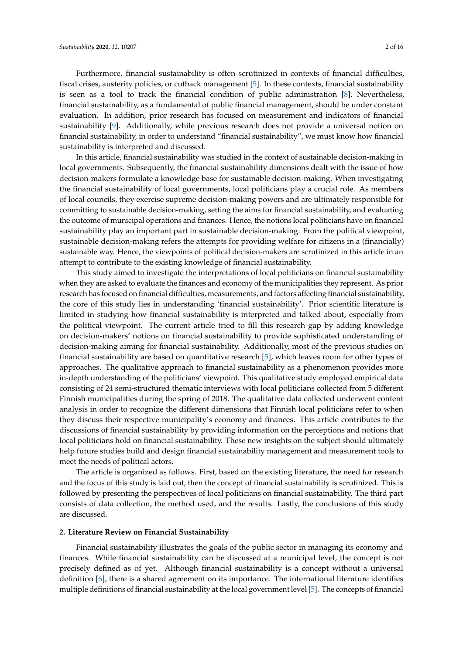Furthermore, financial sustainability is often scrutinized in contexts of financial difficulties, fiscal crises, austerity policies, or cutback management [\[5\]](#page-13-4). In these contexts, financial sustainability is seen as a tool to track the financial condition of public administration [\[8\]](#page-13-7). Nevertheless, financial sustainability, as a fundamental of public financial management, should be under constant evaluation. In addition, prior research has focused on measurement and indicators of financial sustainability [\[9\]](#page-13-8). Additionally, while previous research does not provide a universal notion on financial sustainability, in order to understand "financial sustainability", we must know how financial sustainability is interpreted and discussed.

In this article, financial sustainability was studied in the context of sustainable decision-making in local governments. Subsequently, the financial sustainability dimensions dealt with the issue of how decision-makers formulate a knowledge base for sustainable decision-making. When investigating the financial sustainability of local governments, local politicians play a crucial role. As members of local councils, they exercise supreme decision-making powers and are ultimately responsible for committing to sustainable decision-making, setting the aims for financial sustainability, and evaluating the outcome of municipal operations and finances. Hence, the notions local politicians have on financial sustainability play an important part in sustainable decision-making. From the political viewpoint, sustainable decision-making refers the attempts for providing welfare for citizens in a (financially) sustainable way. Hence, the viewpoints of political decision-makers are scrutinized in this article in an attempt to contribute to the existing knowledge of financial sustainability.

This study aimed to investigate the interpretations of local politicians on financial sustainability when they are asked to evaluate the finances and economy of the municipalities they represent. As prior research has focused on financial difficulties, measurements, and factors affecting financial sustainability, the core of this study lies in understanding 'financial sustainability'. Prior scientific literature is limited in studying how financial sustainability is interpreted and talked about, especially from the political viewpoint. The current article tried to fill this research gap by adding knowledge on decision-makers' notions on financial sustainability to provide sophisticated understanding of decision-making aiming for financial sustainability. Additionally, most of the previous studies on financial sustainability are based on quantitative research [\[5\]](#page-13-4), which leaves room for other types of approaches. The qualitative approach to financial sustainability as a phenomenon provides more in-depth understanding of the politicians' viewpoint. This qualitative study employed empirical data consisting of 24 semi-structured thematic interviews with local politicians collected from 5 different Finnish municipalities during the spring of 2018. The qualitative data collected underwent content analysis in order to recognize the different dimensions that Finnish local politicians refer to when they discuss their respective municipality's economy and finances. This article contributes to the discussions of financial sustainability by providing information on the perceptions and notions that local politicians hold on financial sustainability. These new insights on the subject should ultimately help future studies build and design financial sustainability management and measurement tools to meet the needs of political actors.

The article is organized as follows. First, based on the existing literature, the need for research and the focus of this study is laid out, then the concept of financial sustainability is scrutinized. This is followed by presenting the perspectives of local politicians on financial sustainability. The third part consists of data collection, the method used, and the results. Lastly, the conclusions of this study are discussed.

## **2. Literature Review on Financial Sustainability**

Financial sustainability illustrates the goals of the public sector in managing its economy and finances. While financial sustainability can be discussed at a municipal level, the concept is not precisely defined as of yet. Although financial sustainability is a concept without a universal definition [\[6\]](#page-13-5), there is a shared agreement on its importance. The international literature identifies multiple definitions of financial sustainability at the local government level [\[5\]](#page-13-4). The concepts of financial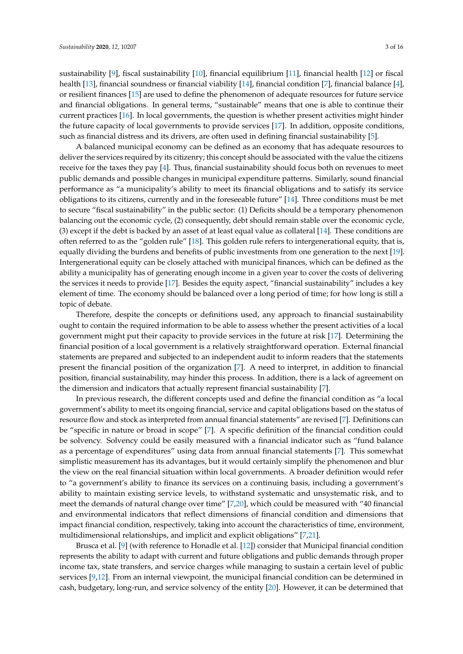sustainability [\[9\]](#page-13-8), fiscal sustainability [\[10\]](#page-13-9), financial equilibrium [\[11\]](#page-13-10), financial health [\[12\]](#page-13-11) or fiscal health [\[13\]](#page-13-12), financial soundness or financial viability [\[14\]](#page-13-13), financial condition [\[7\]](#page-13-6), financial balance [\[4\]](#page-13-3), or resilient finances [\[15\]](#page-13-14) are used to define the phenomenon of adequate resources for future service and financial obligations. In general terms, "sustainable" means that one is able to continue their current practices [\[16\]](#page-13-15). In local governments, the question is whether present activities might hinder the future capacity of local governments to provide services [\[17\]](#page-13-16). In addition, opposite conditions, such as financial distress and its drivers, are often used in defining financial sustainability [\[5\]](#page-13-4).

A balanced municipal economy can be defined as an economy that has adequate resources to deliver the services required by its citizenry; this concept should be associated with the value the citizens receive for the taxes they pay [\[4\]](#page-13-3). Thus, financial sustainability should focus both on revenues to meet public demands and possible changes in municipal expenditure patterns. Similarly, sound financial performance as "a municipality's ability to meet its financial obligations and to satisfy its service obligations to its citizens, currently and in the foreseeable future" [\[14\]](#page-13-13). Three conditions must be met to secure "fiscal sustainability" in the public sector: (1) Deficits should be a temporary phenomenon balancing out the economic cycle, (2) consequently, debt should remain stable over the economic cycle, (3) except if the debt is backed by an asset of at least equal value as collateral [\[14\]](#page-13-13). These conditions are often referred to as the "golden rule" [\[18\]](#page-13-17). This golden rule refers to intergenerational equity, that is, equally dividing the burdens and benefits of public investments from one generation to the next [\[19\]](#page-13-18). Intergenerational equity can be closely attached with municipal finances, which can be defined as the ability a municipality has of generating enough income in a given year to cover the costs of delivering the services it needs to provide [\[17\]](#page-13-16). Besides the equity aspect, "financial sustainability" includes a key element of time. The economy should be balanced over a long period of time; for how long is still a topic of debate.

Therefore, despite the concepts or definitions used, any approach to financial sustainability ought to contain the required information to be able to assess whether the present activities of a local government might put their capacity to provide services in the future at risk [\[17\]](#page-13-16). Determining the financial position of a local government is a relatively straightforward operation. External financial statements are prepared and subjected to an independent audit to inform readers that the statements present the financial position of the organization [\[7\]](#page-13-6). A need to interpret, in addition to financial position, financial sustainability, may hinder this process. In addition, there is a lack of agreement on the dimension and indicators that actually represent financial sustainability [\[7\]](#page-13-6).

In previous research, the different concepts used and define the financial condition as "a local government's ability to meet its ongoing financial, service and capital obligations based on the status of resource flow and stock as interpreted from annual financial statements" are revised [\[7\]](#page-13-6). Definitions can be "specific in nature or broad in scope" [\[7\]](#page-13-6). A specific definition of the financial condition could be solvency. Solvency could be easily measured with a financial indicator such as "fund balance as a percentage of expenditures" using data from annual financial statements [\[7\]](#page-13-6). This somewhat simplistic measurement has its advantages, but it would certainly simplify the phenomenon and blur the view on the real financial situation within local governments. A broader definition would refer to "a government's ability to finance its services on a continuing basis, including a government's ability to maintain existing service levels, to withstand systematic and unsystematic risk, and to meet the demands of natural change over time" [\[7](#page-13-6)[,20\]](#page-13-19), which could be measured with "40 financial and environmental indicators that reflect dimensions of financial condition and dimensions that impact financial condition, respectively, taking into account the characteristics of time, environment, multidimensional relationships, and implicit and explicit obligations" [\[7,](#page-13-6)[21\]](#page-13-20).

Brusca et al. [\[9\]](#page-13-8) (with reference to Honadle et al. [\[12\]](#page-13-11)) consider that Municipal financial condition represents the ability to adapt with current and future obligations and public demands through proper income tax, state transfers, and service charges while managing to sustain a certain level of public services [\[9](#page-13-8)[,12\]](#page-13-11). From an internal viewpoint, the municipal financial condition can be determined in cash, budgetary, long-run, and service solvency of the entity [\[20\]](#page-13-19). However, it can be determined that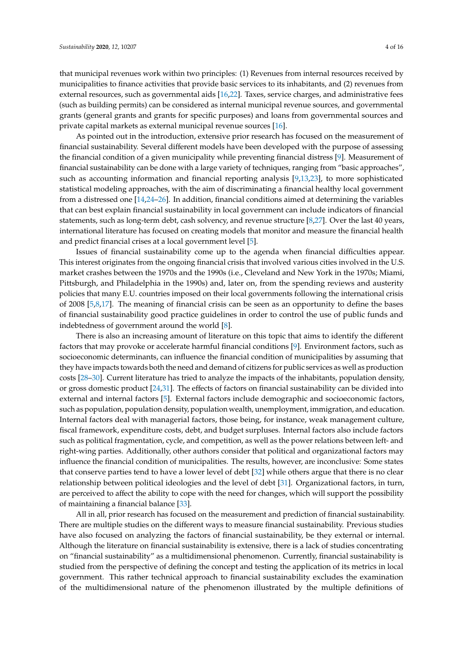that municipal revenues work within two principles: (1) Revenues from internal resources received by municipalities to finance activities that provide basic services to its inhabitants, and (2) revenues from external resources, such as governmental aids [\[16,](#page-13-15)[22\]](#page-13-21). Taxes, service charges, and administrative fees (such as building permits) can be considered as internal municipal revenue sources, and governmental grants (general grants and grants for specific purposes) and loans from governmental sources and private capital markets as external municipal revenue sources [\[16\]](#page-13-15).

As pointed out in the introduction, extensive prior research has focused on the measurement of financial sustainability. Several different models have been developed with the purpose of assessing the financial condition of a given municipality while preventing financial distress [\[9\]](#page-13-8). Measurement of financial sustainability can be done with a large variety of techniques, ranging from "basic approaches", such as accounting information and financial reporting analysis [\[9,](#page-13-8)[13,](#page-13-12)[23\]](#page-13-22), to more sophisticated statistical modeling approaches, with the aim of discriminating a financial healthy local government from a distressed one [\[14,](#page-13-13)[24](#page-13-23)[–26\]](#page-14-0). In addition, financial conditions aimed at determining the variables that can best explain financial sustainability in local government can include indicators of financial statements, such as long-term debt, cash solvency, and revenue structure [\[8](#page-13-7)[,27\]](#page-14-1). Over the last 40 years, international literature has focused on creating models that monitor and measure the financial health and predict financial crises at a local government level [\[5\]](#page-13-4).

Issues of financial sustainability come up to the agenda when financial difficulties appear. This interest originates from the ongoing financial crisis that involved various cities involved in the U.S. market crashes between the 1970s and the 1990s (i.e., Cleveland and New York in the 1970s; Miami, Pittsburgh, and Philadelphia in the 1990s) and, later on, from the spending reviews and austerity policies that many E.U. countries imposed on their local governments following the international crisis of 2008 [\[5](#page-13-4)[,8](#page-13-7)[,17\]](#page-13-16). The meaning of financial crisis can be seen as an opportunity to define the bases of financial sustainability good practice guidelines in order to control the use of public funds and indebtedness of government around the world [\[8\]](#page-13-7).

There is also an increasing amount of literature on this topic that aims to identify the different factors that may provoke or accelerate harmful financial conditions [\[9\]](#page-13-8). Environment factors, such as socioeconomic determinants, can influence the financial condition of municipalities by assuming that they have impacts towards both the need and demand of citizens for public services as well as production costs [\[28](#page-14-2)[–30\]](#page-14-3). Current literature has tried to analyze the impacts of the inhabitants, population density, or gross domestic product [\[24,](#page-13-23)[31\]](#page-14-4). The effects of factors on financial sustainability can be divided into external and internal factors [\[5\]](#page-13-4). External factors include demographic and socioeconomic factors, such as population, population density, population wealth, unemployment, immigration, and education. Internal factors deal with managerial factors, those being, for instance, weak management culture, fiscal framework, expenditure costs, debt, and budget surpluses. Internal factors also include factors such as political fragmentation, cycle, and competition, as well as the power relations between left- and right-wing parties. Additionally, other authors consider that political and organizational factors may influence the financial condition of municipalities. The results, however, are inconclusive: Some states that conserve parties tend to have a lower level of debt [\[32\]](#page-14-5) while others argue that there is no clear relationship between political ideologies and the level of debt [\[31\]](#page-14-4). Organizational factors, in turn, are perceived to affect the ability to cope with the need for changes, which will support the possibility of maintaining a financial balance [\[33\]](#page-14-6).

All in all, prior research has focused on the measurement and prediction of financial sustainability. There are multiple studies on the different ways to measure financial sustainability. Previous studies have also focused on analyzing the factors of financial sustainability, be they external or internal. Although the literature on financial sustainability is extensive, there is a lack of studies concentrating on "financial sustainability" as a multidimensional phenomenon. Currently, financial sustainability is studied from the perspective of defining the concept and testing the application of its metrics in local government. This rather technical approach to financial sustainability excludes the examination of the multidimensional nature of the phenomenon illustrated by the multiple definitions of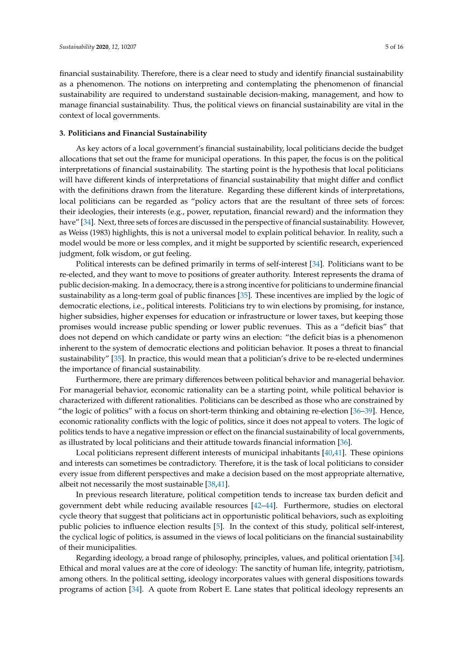financial sustainability. Therefore, there is a clear need to study and identify financial sustainability as a phenomenon. The notions on interpreting and contemplating the phenomenon of financial sustainability are required to understand sustainable decision-making, management, and how to manage financial sustainability. Thus, the political views on financial sustainability are vital in the context of local governments.

#### **3. Politicians and Financial Sustainability**

As key actors of a local government's financial sustainability, local politicians decide the budget allocations that set out the frame for municipal operations. In this paper, the focus is on the political interpretations of financial sustainability. The starting point is the hypothesis that local politicians will have different kinds of interpretations of financial sustainability that might differ and conflict with the definitions drawn from the literature. Regarding these different kinds of interpretations, local politicians can be regarded as "policy actors that are the resultant of three sets of forces: their ideologies, their interests (e.g., power, reputation, financial reward) and the information they have" [\[34\]](#page-14-7). Next, three sets of forces are discussed in the perspective of financial sustainability. However, as Weiss (1983) highlights, this is not a universal model to explain political behavior. In reality, such a model would be more or less complex, and it might be supported by scientific research, experienced judgment, folk wisdom, or gut feeling.

Political interests can be defined primarily in terms of self-interest [\[34\]](#page-14-7). Politicians want to be re-elected, and they want to move to positions of greater authority. Interest represents the drama of public decision-making. In a democracy, there is a strong incentive for politicians to undermine financial sustainability as a long-term goal of public finances [\[35\]](#page-14-8). These incentives are implied by the logic of democratic elections, i.e., political interests. Politicians try to win elections by promising, for instance, higher subsidies, higher expenses for education or infrastructure or lower taxes, but keeping those promises would increase public spending or lower public revenues. This as a "deficit bias" that does not depend on which candidate or party wins an election: "the deficit bias is a phenomenon inherent to the system of democratic elections and politician behavior. It poses a threat to financial sustainability" [\[35\]](#page-14-8). In practice, this would mean that a politician's drive to be re-elected undermines the importance of financial sustainability.

Furthermore, there are primary differences between political behavior and managerial behavior. For managerial behavior, economic rationality can be a starting point, while political behavior is characterized with different rationalities. Politicians can be described as those who are constrained by "the logic of politics" with a focus on short-term thinking and obtaining re-election [\[36](#page-14-9)[–39\]](#page-14-10). Hence, economic rationality conflicts with the logic of politics, since it does not appeal to voters. The logic of politics tends to have a negative impression or effect on the financial sustainability of local governments, as illustrated by local politicians and their attitude towards financial information [\[36\]](#page-14-9).

Local politicians represent different interests of municipal inhabitants [\[40](#page-14-11)[,41\]](#page-14-12). These opinions and interests can sometimes be contradictory. Therefore, it is the task of local politicians to consider every issue from different perspectives and make a decision based on the most appropriate alternative, albeit not necessarily the most sustainable [\[38,](#page-14-13)[41\]](#page-14-12).

In previous research literature, political competition tends to increase tax burden deficit and government debt while reducing available resources [\[42](#page-14-14)[–44\]](#page-14-15). Furthermore, studies on electoral cycle theory that suggest that politicians act in opportunistic political behaviors, such as exploiting public policies to influence election results [\[5\]](#page-13-4). In the context of this study, political self-interest, the cyclical logic of politics, is assumed in the views of local politicians on the financial sustainability of their municipalities.

Regarding ideology, a broad range of philosophy, principles, values, and political orientation [\[34\]](#page-14-7). Ethical and moral values are at the core of ideology: The sanctity of human life, integrity, patriotism, among others. In the political setting, ideology incorporates values with general dispositions towards programs of action [\[34\]](#page-14-7). A quote from Robert E. Lane states that political ideology represents an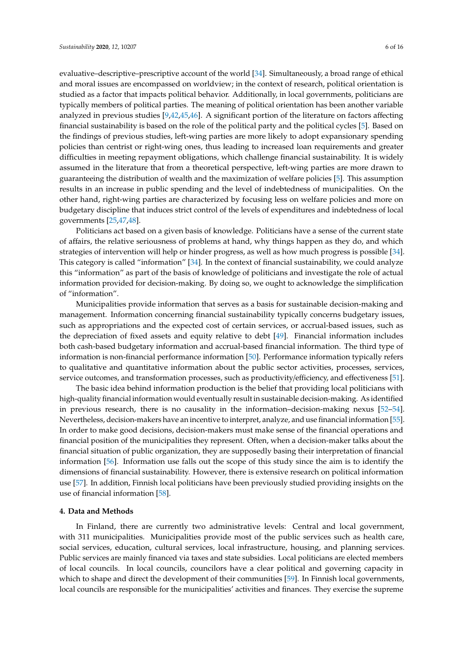evaluative–descriptive–prescriptive account of the world [\[34\]](#page-14-7). Simultaneously, a broad range of ethical and moral issues are encompassed on worldview; in the context of research, political orientation is studied as a factor that impacts political behavior. Additionally, in local governments, politicians are typically members of political parties. The meaning of political orientation has been another variable analyzed in previous studies [\[9,](#page-13-8)[42,](#page-14-14)[45,](#page-14-16)[46\]](#page-14-17). A significant portion of the literature on factors affecting financial sustainability is based on the role of the political party and the political cycles [\[5\]](#page-13-4). Based on the findings of previous studies, left-wing parties are more likely to adopt expansionary spending policies than centrist or right-wing ones, thus leading to increased loan requirements and greater difficulties in meeting repayment obligations, which challenge financial sustainability. It is widely assumed in the literature that from a theoretical perspective, left-wing parties are more drawn to guaranteeing the distribution of wealth and the maximization of welfare policies [\[5\]](#page-13-4). This assumption results in an increase in public spending and the level of indebtedness of municipalities. On the other hand, right-wing parties are characterized by focusing less on welfare policies and more on budgetary discipline that induces strict control of the levels of expenditures and indebtedness of local governments [\[25](#page-13-24)[,47,](#page-14-18)[48\]](#page-14-19).

Politicians act based on a given basis of knowledge. Politicians have a sense of the current state of affairs, the relative seriousness of problems at hand, why things happen as they do, and which strategies of intervention will help or hinder progress, as well as how much progress is possible [\[34\]](#page-14-7). This category is called "information" [\[34\]](#page-14-7). In the context of financial sustainability, we could analyze this "information" as part of the basis of knowledge of politicians and investigate the role of actual information provided for decision-making. By doing so, we ought to acknowledge the simplification of "information".

Municipalities provide information that serves as a basis for sustainable decision-making and management. Information concerning financial sustainability typically concerns budgetary issues, such as appropriations and the expected cost of certain services, or accrual-based issues, such as the depreciation of fixed assets and equity relative to debt [\[49\]](#page-14-20). Financial information includes both cash-based budgetary information and accrual-based financial information. The third type of information is non-financial performance information [\[50\]](#page-15-0). Performance information typically refers to qualitative and quantitative information about the public sector activities, processes, services, service outcomes, and transformation processes, such as productivity/efficiency, and effectiveness [\[51\]](#page-15-1).

The basic idea behind information production is the belief that providing local politicians with high-quality financial information would eventually result in sustainable decision-making. As identified in previous research, there is no causality in the information–decision-making nexus [\[52–](#page-15-2)[54\]](#page-15-3). Nevertheless, decision-makers have an incentive to interpret, analyze, and use financial information [\[55\]](#page-15-4). In order to make good decisions, decision-makers must make sense of the financial operations and financial position of the municipalities they represent. Often, when a decision-maker talks about the financial situation of public organization, they are supposedly basing their interpretation of financial information [\[56\]](#page-15-5). Information use falls out the scope of this study since the aim is to identify the dimensions of financial sustainability. However, there is extensive research on political information use [\[57\]](#page-15-6). In addition, Finnish local politicians have been previously studied providing insights on the use of financial information [\[58\]](#page-15-7).

#### **4. Data and Methods**

In Finland, there are currently two administrative levels: Central and local government, with 311 municipalities. Municipalities provide most of the public services such as health care, social services, education, cultural services, local infrastructure, housing, and planning services. Public services are mainly financed via taxes and state subsidies. Local politicians are elected members of local councils. In local councils, councilors have a clear political and governing capacity in which to shape and direct the development of their communities [\[59\]](#page-15-8). In Finnish local governments, local councils are responsible for the municipalities' activities and finances. They exercise the supreme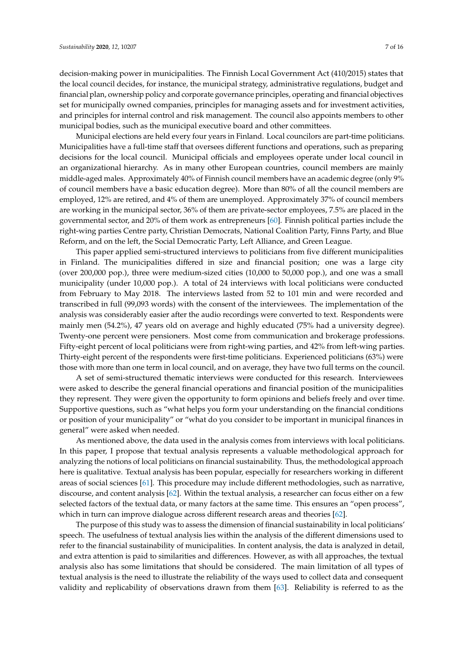decision-making power in municipalities. The Finnish Local Government Act (410/2015) states that the local council decides, for instance, the municipal strategy, administrative regulations, budget and financial plan, ownership policy and corporate governance principles, operating and financial objectives set for municipally owned companies, principles for managing assets and for investment activities, and principles for internal control and risk management. The council also appoints members to other municipal bodies, such as the municipal executive board and other committees.

Municipal elections are held every four years in Finland. Local councilors are part-time politicians. Municipalities have a full-time staff that oversees different functions and operations, such as preparing decisions for the local council. Municipal officials and employees operate under local council in an organizational hierarchy. As in many other European countries, council members are mainly middle-aged males. Approximately 40% of Finnish council members have an academic degree (only 9% of council members have a basic education degree). More than 80% of all the council members are employed, 12% are retired, and 4% of them are unemployed. Approximately 37% of council members are working in the municipal sector, 36% of them are private-sector employees, 7.5% are placed in the governmental sector, and 20% of them work as entrepreneurs [\[60\]](#page-15-9). Finnish political parties include the right-wing parties Centre party, Christian Democrats, National Coalition Party, Finns Party, and Blue Reform, and on the left, the Social Democratic Party, Left Alliance, and Green League.

This paper applied semi-structured interviews to politicians from five different municipalities in Finland. The municipalities differed in size and financial position; one was a large city (over 200,000 pop.), three were medium-sized cities (10,000 to 50,000 pop.), and one was a small municipality (under 10,000 pop.). A total of 24 interviews with local politicians were conducted from February to May 2018. The interviews lasted from 52 to 101 min and were recorded and transcribed in full (99,093 words) with the consent of the interviewees. The implementation of the analysis was considerably easier after the audio recordings were converted to text. Respondents were mainly men (54.2%), 47 years old on average and highly educated (75% had a university degree). Twenty-one percent were pensioners. Most come from communication and brokerage professions. Fifty-eight percent of local politicians were from right-wing parties, and 42% from left-wing parties. Thirty-eight percent of the respondents were first-time politicians. Experienced politicians (63%) were those with more than one term in local council, and on average, they have two full terms on the council.

A set of semi-structured thematic interviews were conducted for this research. Interviewees were asked to describe the general financial operations and financial position of the municipalities they represent. They were given the opportunity to form opinions and beliefs freely and over time. Supportive questions, such as "what helps you form your understanding on the financial conditions or position of your municipality" or "what do you consider to be important in municipal finances in general" were asked when needed.

As mentioned above, the data used in the analysis comes from interviews with local politicians. In this paper, I propose that textual analysis represents a valuable methodological approach for analyzing the notions of local politicians on financial sustainability. Thus, the methodological approach here is qualitative. Textual analysis has been popular, especially for researchers working in different areas of social sciences [\[61\]](#page-15-10). This procedure may include different methodologies, such as narrative, discourse, and content analysis [\[62\]](#page-15-11). Within the textual analysis, a researcher can focus either on a few selected factors of the textual data, or many factors at the same time. This ensures an "open process", which in turn can improve dialogue across different research areas and theories [\[62\]](#page-15-11).

The purpose of this study was to assess the dimension of financial sustainability in local politicians' speech. The usefulness of textual analysis lies within the analysis of the different dimensions used to refer to the financial sustainability of municipalities. In content analysis, the data is analyzed in detail, and extra attention is paid to similarities and differences. However, as with all approaches, the textual analysis also has some limitations that should be considered. The main limitation of all types of textual analysis is the need to illustrate the reliability of the ways used to collect data and consequent validity and replicability of observations drawn from them [\[63\]](#page-15-12). Reliability is referred to as the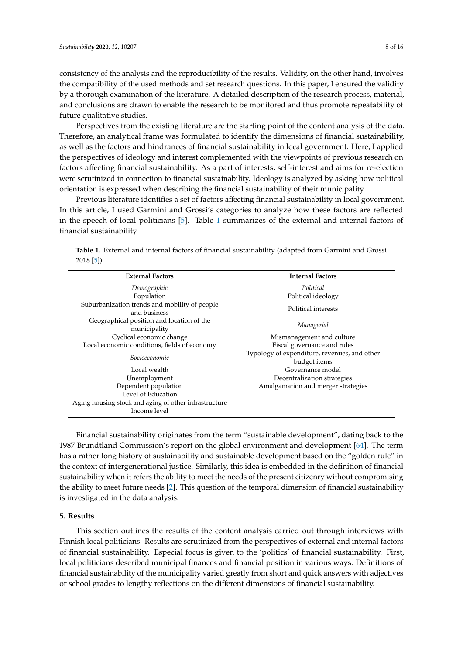consistency of the analysis and the reproducibility of the results. Validity, on the other hand, involves the compatibility of the used methods and set research questions. In this paper, I ensured the validity by a thorough examination of the literature. A detailed description of the research process, material, and conclusions are drawn to enable the research to be monitored and thus promote repeatability of future qualitative studies.

Perspectives from the existing literature are the starting point of the content analysis of the data. Therefore, an analytical frame was formulated to identify the dimensions of financial sustainability, as well as the factors and hindrances of financial sustainability in local government. Here, I applied the perspectives of ideology and interest complemented with the viewpoints of previous research on factors affecting financial sustainability. As a part of interests, self-interest and aims for re-election were scrutinized in connection to financial sustainability. Ideology is analyzed by asking how political orientation is expressed when describing the financial sustainability of their municipality.

Previous literature identifies a set of factors affecting financial sustainability in local government. In this article, I used Garmini and Grossi's categories to analyze how these factors are reflected in the speech of local politicians [\[5\]](#page-13-4). Table [1](#page-7-0) summarizes of the external and internal factors of financial sustainability.

| <b>External Factors</b>                                               | <b>Internal Factors</b>                                      |
|-----------------------------------------------------------------------|--------------------------------------------------------------|
| Demographic                                                           | Political                                                    |
| Population                                                            | Political ideology                                           |
| Suburbanization trends and mobility of people<br>and business         | Political interests                                          |
| Geographical position and location of the<br>municipality             | Managerial                                                   |
| Cyclical economic change                                              | Mismanagement and culture                                    |
| Local economic conditions, fields of economy                          | Fiscal governance and rules                                  |
| Socioeconomic                                                         | Typology of expenditure, revenues, and other<br>budget items |
| Local wealth                                                          | Governance model                                             |
| Unemployment                                                          | Decentralization strategies                                  |
| Dependent population                                                  | Amalgamation and merger strategies                           |
| Level of Education                                                    |                                                              |
| Aging housing stock and aging of other infrastructure<br>Income level |                                                              |

<span id="page-7-0"></span>**Table 1.** External and internal factors of financial sustainability (adapted from Garmini and Grossi 2018 [\[5\]](#page-13-4)).

Financial sustainability originates from the term "sustainable development", dating back to the 1987 Brundtland Commission's report on the global environment and development [\[64\]](#page-15-13). The term has a rather long history of sustainability and sustainable development based on the "golden rule" in the context of intergenerational justice. Similarly, this idea is embedded in the definition of financial sustainability when it refers the ability to meet the needs of the present citizenry without compromising the ability to meet future needs [\[2\]](#page-13-1). This question of the temporal dimension of financial sustainability is investigated in the data analysis.

#### **5. Results**

This section outlines the results of the content analysis carried out through interviews with Finnish local politicians. Results are scrutinized from the perspectives of external and internal factors of financial sustainability. Especial focus is given to the 'politics' of financial sustainability. First, local politicians described municipal finances and financial position in various ways. Definitions of financial sustainability of the municipality varied greatly from short and quick answers with adjectives or school grades to lengthy reflections on the different dimensions of financial sustainability.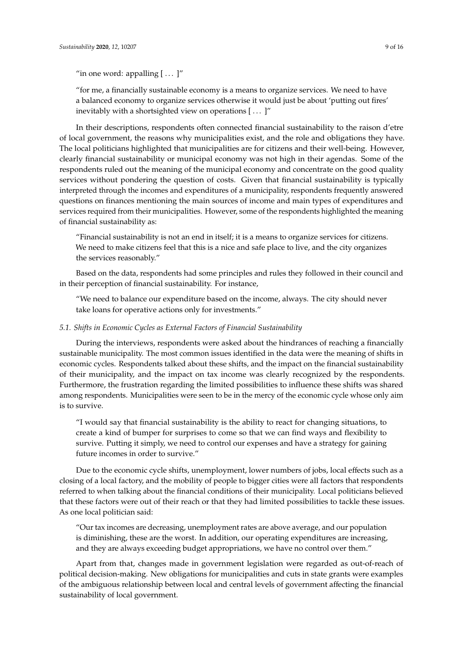"for me, a financially sustainable economy is a means to organize services. We need to have a balanced economy to organize services otherwise it would just be about 'putting out fires' inevitably with a shortsighted view on operations [ . . . ]"

In their descriptions, respondents often connected financial sustainability to the raison d'etre of local government, the reasons why municipalities exist, and the role and obligations they have. The local politicians highlighted that municipalities are for citizens and their well-being. However, clearly financial sustainability or municipal economy was not high in their agendas. Some of the respondents ruled out the meaning of the municipal economy and concentrate on the good quality services without pondering the question of costs. Given that financial sustainability is typically interpreted through the incomes and expenditures of a municipality, respondents frequently answered questions on finances mentioning the main sources of income and main types of expenditures and services required from their municipalities. However, some of the respondents highlighted the meaning of financial sustainability as:

"Financial sustainability is not an end in itself; it is a means to organize services for citizens. We need to make citizens feel that this is a nice and safe place to live, and the city organizes the services reasonably."

Based on the data, respondents had some principles and rules they followed in their council and in their perception of financial sustainability. For instance,

"We need to balance our expenditure based on the income, always. The city should never take loans for operative actions only for investments."

#### *5.1. Shifts in Economic Cycles as External Factors of Financial Sustainability*

During the interviews, respondents were asked about the hindrances of reaching a financially sustainable municipality. The most common issues identified in the data were the meaning of shifts in economic cycles. Respondents talked about these shifts, and the impact on the financial sustainability of their municipality, and the impact on tax income was clearly recognized by the respondents. Furthermore, the frustration regarding the limited possibilities to influence these shifts was shared among respondents. Municipalities were seen to be in the mercy of the economic cycle whose only aim is to survive.

"I would say that financial sustainability is the ability to react for changing situations, to create a kind of bumper for surprises to come so that we can find ways and flexibility to survive. Putting it simply, we need to control our expenses and have a strategy for gaining future incomes in order to survive."

Due to the economic cycle shifts, unemployment, lower numbers of jobs, local effects such as a closing of a local factory, and the mobility of people to bigger cities were all factors that respondents referred to when talking about the financial conditions of their municipality. Local politicians believed that these factors were out of their reach or that they had limited possibilities to tackle these issues. As one local politician said:

"Our tax incomes are decreasing, unemployment rates are above average, and our population is diminishing, these are the worst. In addition, our operating expenditures are increasing, and they are always exceeding budget appropriations, we have no control over them."

Apart from that, changes made in government legislation were regarded as out-of-reach of political decision-making. New obligations for municipalities and cuts in state grants were examples of the ambiguous relationship between local and central levels of government affecting the financial sustainability of local government.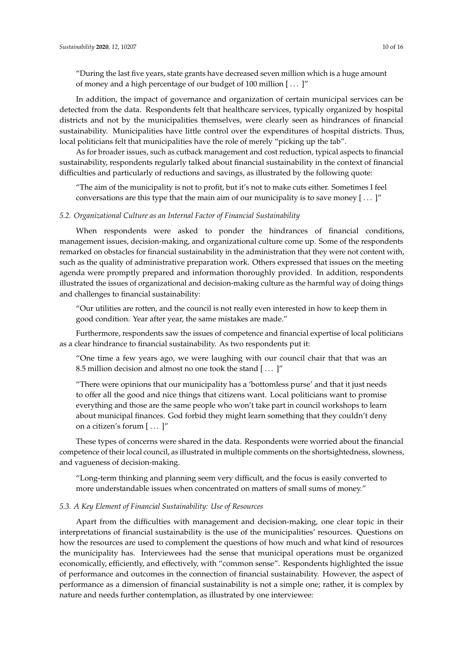"During the last five years, state grants have decreased seven million which is a huge amount of money and a high percentage of our budget of 100 million [ . . . ]"

In addition, the impact of governance and organization of certain municipal services can be detected from the data. Respondents felt that healthcare services, typically organized by hospital districts and not by the municipalities themselves, were clearly seen as hindrances of financial sustainability. Municipalities have little control over the expenditures of hospital districts. Thus, local politicians felt that municipalities have the role of merely "picking up the tab".

As for broader issues, such as cutback management and cost reduction, typical aspects to financial sustainability, respondents regularly talked about financial sustainability in the context of financial difficulties and particularly of reductions and savings, as illustrated by the following quote:

"The aim of the municipality is not to profit, but it's not to make cuts either. Sometimes I feel conversations are this type that the main aim of our municipality is to save money [ . . . ]"

# *5.2. Organizational Culture as an Internal Factor of Financial Sustainability*

When respondents were asked to ponder the hindrances of financial conditions, management issues, decision-making, and organizational culture come up. Some of the respondents remarked on obstacles for financial sustainability in the administration that they were not content with, such as the quality of administrative preparation work. Others expressed that issues on the meeting agenda were promptly prepared and information thoroughly provided. In addition, respondents illustrated the issues of organizational and decision-making culture as the harmful way of doing things and challenges to financial sustainability:

"Our utilities are rotten, and the council is not really even interested in how to keep them in good condition. Year after year, the same mistakes are made."

Furthermore, respondents saw the issues of competence and financial expertise of local politicians as a clear hindrance to financial sustainability. As two respondents put it:

"One time a few years ago, we were laughing with our council chair that that was an 8.5 million decision and almost no one took the stand [...]"

"There were opinions that our municipality has a 'bottomless purse' and that it just needs to offer all the good and nice things that citizens want. Local politicians want to promise everything and those are the same people who won't take part in council workshops to learn about municipal finances. God forbid they might learn something that they couldn't deny on a citizen's forum  $[...]$ "

These types of concerns were shared in the data. Respondents were worried about the financial competence of their local council, as illustrated in multiple comments on the shortsightedness, slowness, and vagueness of decision-making.

"Long-term thinking and planning seem very difficult, and the focus is easily converted to more understandable issues when concentrated on matters of small sums of money."

## *5.3. A Key Element of Financial Sustainability: Use of Resources*

Apart from the difficulties with management and decision-making, one clear topic in their interpretations of financial sustainability is the use of the municipalities' resources. Questions on how the resources are used to complement the questions of how much and what kind of resources the municipality has. Interviewees had the sense that municipal operations must be organized economically, efficiently, and effectively, with "common sense". Respondents highlighted the issue of performance and outcomes in the connection of financial sustainability. However, the aspect of performance as a dimension of financial sustainability is not a simple one; rather, it is complex by nature and needs further contemplation, as illustrated by one interviewee: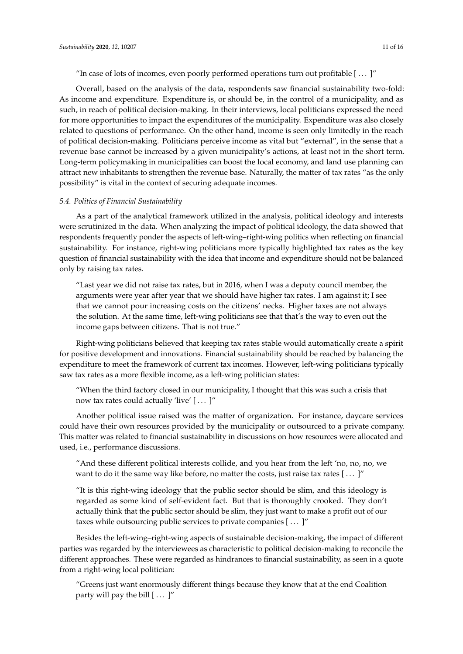"In case of lots of incomes, even poorly performed operations turn out profitable [ . . . ]"

Overall, based on the analysis of the data, respondents saw financial sustainability two-fold: As income and expenditure. Expenditure is, or should be, in the control of a municipality, and as such, in reach of political decision-making. In their interviews, local politicians expressed the need for more opportunities to impact the expenditures of the municipality. Expenditure was also closely related to questions of performance. On the other hand, income is seen only limitedly in the reach of political decision-making. Politicians perceive income as vital but "external", in the sense that a revenue base cannot be increased by a given municipality's actions, at least not in the short term. Long-term policymaking in municipalities can boost the local economy, and land use planning can attract new inhabitants to strengthen the revenue base. Naturally, the matter of tax rates "as the only possibility" is vital in the context of securing adequate incomes.

#### *5.4. Politics of Financial Sustainability*

As a part of the analytical framework utilized in the analysis, political ideology and interests were scrutinized in the data. When analyzing the impact of political ideology, the data showed that respondents frequently ponder the aspects of left-wing–right-wing politics when reflecting on financial sustainability. For instance, right-wing politicians more typically highlighted tax rates as the key question of financial sustainability with the idea that income and expenditure should not be balanced only by raising tax rates.

"Last year we did not raise tax rates, but in 2016, when I was a deputy council member, the arguments were year after year that we should have higher tax rates. I am against it; I see that we cannot pour increasing costs on the citizens' necks. Higher taxes are not always the solution. At the same time, left-wing politicians see that that's the way to even out the income gaps between citizens. That is not true."

Right-wing politicians believed that keeping tax rates stable would automatically create a spirit for positive development and innovations. Financial sustainability should be reached by balancing the expenditure to meet the framework of current tax incomes. However, left-wing politicians typically saw tax rates as a more flexible income, as a left-wing politician states:

"When the third factory closed in our municipality, I thought that this was such a crisis that now tax rates could actually 'live' [...]"

Another political issue raised was the matter of organization. For instance, daycare services could have their own resources provided by the municipality or outsourced to a private company. This matter was related to financial sustainability in discussions on how resources were allocated and used, i.e., performance discussions.

"And these different political interests collide, and you hear from the left 'no, no, no, we want to do it the same way like before, no matter the costs, just raise tax rates [ . . . ]"

"It is this right-wing ideology that the public sector should be slim, and this ideology is regarded as some kind of self-evident fact. But that is thoroughly crooked. They don't actually think that the public sector should be slim, they just want to make a profit out of our taxes while outsourcing public services to private companies [...]"

Besides the left-wing–right-wing aspects of sustainable decision-making, the impact of different parties was regarded by the interviewees as characteristic to political decision-making to reconcile the different approaches. These were regarded as hindrances to financial sustainability, as seen in a quote from a right-wing local politician:

"Greens just want enormously different things because they know that at the end Coalition party will pay the bill  $[\dots]''$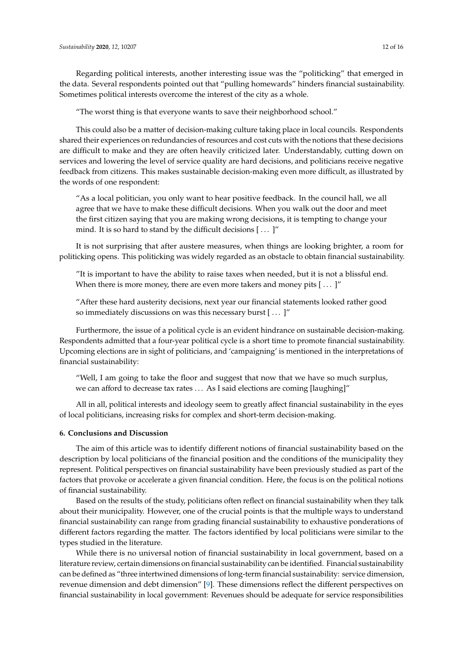Regarding political interests, another interesting issue was the "politicking" that emerged in the data. Several respondents pointed out that "pulling homewards" hinders financial sustainability. Sometimes political interests overcome the interest of the city as a whole.

"The worst thing is that everyone wants to save their neighborhood school."

This could also be a matter of decision-making culture taking place in local councils. Respondents shared their experiences on redundancies of resources and cost cuts with the notions that these decisions are difficult to make and they are often heavily criticized later. Understandably, cutting down on services and lowering the level of service quality are hard decisions, and politicians receive negative feedback from citizens. This makes sustainable decision-making even more difficult, as illustrated by the words of one respondent:

"As a local politician, you only want to hear positive feedback. In the council hall, we all agree that we have to make these difficult decisions. When you walk out the door and meet the first citizen saying that you are making wrong decisions, it is tempting to change your mind. It is so hard to stand by the difficult decisions [...]"

It is not surprising that after austere measures, when things are looking brighter, a room for politicking opens. This politicking was widely regarded as an obstacle to obtain financial sustainability.

"It is important to have the ability to raise taxes when needed, but it is not a blissful end. When there is more money, there are even more takers and money pits  $[$ ... ]"

"After these hard austerity decisions, next year our financial statements looked rather good so immediately discussions on was this necessary burst [ . . . ]"

Furthermore, the issue of a political cycle is an evident hindrance on sustainable decision-making. Respondents admitted that a four-year political cycle is a short time to promote financial sustainability. Upcoming elections are in sight of politicians, and 'campaigning' is mentioned in the interpretations of financial sustainability:

"Well, I am going to take the floor and suggest that now that we have so much surplus, we can afford to decrease tax rates . . . As I said elections are coming [laughing]"

All in all, political interests and ideology seem to greatly affect financial sustainability in the eyes of local politicians, increasing risks for complex and short-term decision-making.

## **6. Conclusions and Discussion**

The aim of this article was to identify different notions of financial sustainability based on the description by local politicians of the financial position and the conditions of the municipality they represent. Political perspectives on financial sustainability have been previously studied as part of the factors that provoke or accelerate a given financial condition. Here, the focus is on the political notions of financial sustainability.

Based on the results of the study, politicians often reflect on financial sustainability when they talk about their municipality. However, one of the crucial points is that the multiple ways to understand financial sustainability can range from grading financial sustainability to exhaustive ponderations of different factors regarding the matter. The factors identified by local politicians were similar to the types studied in the literature.

While there is no universal notion of financial sustainability in local government, based on a literature review, certain dimensions on financial sustainability can be identified. Financial sustainability can be defined as "three intertwined dimensions of long-term financial sustainability: service dimension, revenue dimension and debt dimension" [\[9\]](#page-13-8). These dimensions reflect the different perspectives on financial sustainability in local government: Revenues should be adequate for service responsibilities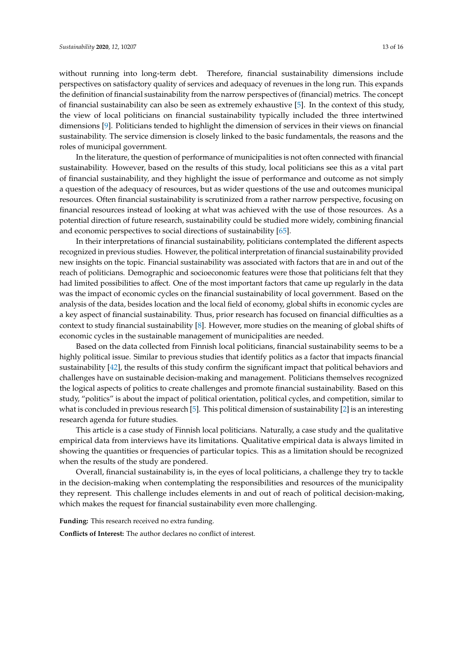without running into long-term debt. Therefore, financial sustainability dimensions include perspectives on satisfactory quality of services and adequacy of revenues in the long run. This expands the definition of financial sustainability from the narrow perspectives of (financial) metrics. The concept of financial sustainability can also be seen as extremely exhaustive [\[5\]](#page-13-4). In the context of this study, the view of local politicians on financial sustainability typically included the three intertwined dimensions [\[9\]](#page-13-8). Politicians tended to highlight the dimension of services in their views on financial sustainability. The service dimension is closely linked to the basic fundamentals, the reasons and the roles of municipal government.

In the literature, the question of performance of municipalities is not often connected with financial sustainability. However, based on the results of this study, local politicians see this as a vital part of financial sustainability, and they highlight the issue of performance and outcome as not simply a question of the adequacy of resources, but as wider questions of the use and outcomes municipal resources. Often financial sustainability is scrutinized from a rather narrow perspective, focusing on financial resources instead of looking at what was achieved with the use of those resources. As a potential direction of future research, sustainability could be studied more widely, combining financial and economic perspectives to social directions of sustainability [\[65\]](#page-15-14).

In their interpretations of financial sustainability, politicians contemplated the different aspects recognized in previous studies. However, the political interpretation of financial sustainability provided new insights on the topic. Financial sustainability was associated with factors that are in and out of the reach of politicians. Demographic and socioeconomic features were those that politicians felt that they had limited possibilities to affect. One of the most important factors that came up regularly in the data was the impact of economic cycles on the financial sustainability of local government. Based on the analysis of the data, besides location and the local field of economy, global shifts in economic cycles are a key aspect of financial sustainability. Thus, prior research has focused on financial difficulties as a context to study financial sustainability [\[8\]](#page-13-7). However, more studies on the meaning of global shifts of economic cycles in the sustainable management of municipalities are needed.

Based on the data collected from Finnish local politicians, financial sustainability seems to be a highly political issue. Similar to previous studies that identify politics as a factor that impacts financial sustainability [\[42\]](#page-14-14), the results of this study confirm the significant impact that political behaviors and challenges have on sustainable decision-making and management. Politicians themselves recognized the logical aspects of politics to create challenges and promote financial sustainability. Based on this study, "politics" is about the impact of political orientation, political cycles, and competition, similar to what is concluded in previous research [\[5\]](#page-13-4). This political dimension of sustainability [\[2\]](#page-13-1) is an interesting research agenda for future studies.

This article is a case study of Finnish local politicians. Naturally, a case study and the qualitative empirical data from interviews have its limitations. Qualitative empirical data is always limited in showing the quantities or frequencies of particular topics. This as a limitation should be recognized when the results of the study are pondered.

Overall, financial sustainability is, in the eyes of local politicians, a challenge they try to tackle in the decision-making when contemplating the responsibilities and resources of the municipality they represent. This challenge includes elements in and out of reach of political decision-making, which makes the request for financial sustainability even more challenging.

**Funding:** This research received no extra funding.

**Conflicts of Interest:** The author declares no conflict of interest.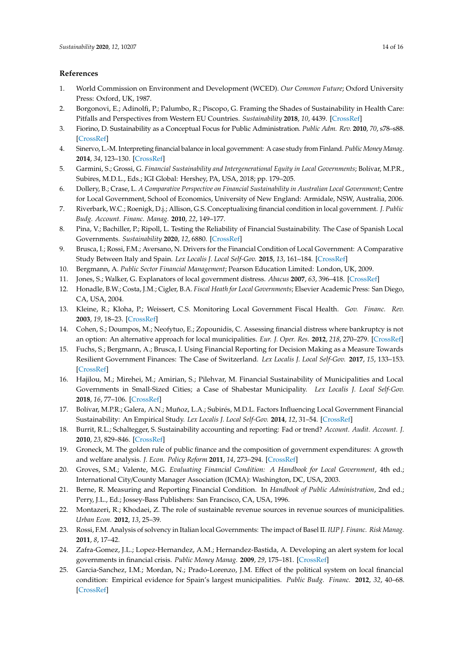# **References**

- <span id="page-13-0"></span>1. World Commission on Environment and Development (WCED). *Our Common Future*; Oxford University Press: Oxford, UK, 1987.
- <span id="page-13-1"></span>2. Borgonovi, E.; Adinolfi, P.; Palumbo, R.; Piscopo, G. Framing the Shades of Sustainability in Health Care: Pitfalls and Perspectives from Western EU Countries. *Sustainability* **2018**, *10*, 4439. [\[CrossRef\]](http://dx.doi.org/10.3390/su10124439)
- <span id="page-13-2"></span>3. Fiorino, D. Sustainability as a Conceptual Focus for Public Administration. *Public Adm. Rev.* **2010**, *70*, s78–s88. [\[CrossRef\]](http://dx.doi.org/10.1111/j.1540-6210.2010.02249.x)
- <span id="page-13-3"></span>4. Sinervo, L.-M. Interpreting financial balance in local government: A case study from Finland. *Public Money Manag.* **2014**, *34*, 123–130. [\[CrossRef\]](http://dx.doi.org/10.1080/09540962.2014.887521)
- <span id="page-13-4"></span>5. Garmini, S.; Grossi, G. *Financial Sustainability and Intergenerational Equity in Local Governments*; Bolívar, M.P.R., Subires, M.D.L., Eds.; IGI Global: Hershey, PA, USA, 2018; pp. 179–205.
- <span id="page-13-5"></span>6. Dollery, B.; Crase, L. *A Comparative Perspective on Financial Sustainability in Australian Local Government*; Centre for Local Government, School of Economics, University of New England: Armidale, NSW, Australia, 2006.
- <span id="page-13-6"></span>7. Riverbark, W.C.; Roenigk, D.j.; Allison, G.S. Conceptualixing financial condition in local government. *J. Public Budg. Account. Financ. Manag.* **2010**, *22*, 149–177.
- <span id="page-13-7"></span>8. Pina, V.; Bachiller, P.; Ripoll, L. Testing the Reliability of Financial Sustainability. The Case of Spanish Local Governments. *Sustainability* **2020**, *12*, 6880. [\[CrossRef\]](http://dx.doi.org/10.3390/su12176880)
- <span id="page-13-8"></span>9. Brusca, I.; Rossi, F.M.; Aversano, N. Drivers for the Financial Condition of Local Government: A Comparative Study Between Italy and Spain. *Lex Localis J. Local Self-Gov.* **2015**, *13*, 161–184. [\[CrossRef\]](http://dx.doi.org/10.4335/13.2.161-184(2015))
- <span id="page-13-9"></span>10. Bergmann, A. *Public Sector Financial Management*; Pearson Education Limited: London, UK, 2009.
- <span id="page-13-10"></span>11. Jones, S.; Walker, G. Explanators of local government distress. *Abacus* **2007**, *63*, 396–418. [\[CrossRef\]](http://dx.doi.org/10.1111/j.1467-6281.2007.00238.x)
- <span id="page-13-11"></span>12. Honadle, B.W.; Costa, J.M.; Cigler, B.A. *Fiscal Heath for Local Governments*; Elsevier Academic Press: San Diego, CA, USA, 2004.
- <span id="page-13-12"></span>13. Kleine, R.; Kloha, P.; Weissert, C.S. Monitoring Local Government Fiscal Health. *Gov. Financ. Rev.* **2003**, *19*, 18–23. [\[CrossRef\]](http://dx.doi.org/10.1111/j.1540-6210.2005.00456.x)
- <span id="page-13-13"></span>14. Cohen, S.; Doumpos, M.; Neofytuo, E.; Zopounidis, C. Assessing financial distress where bankruptcy is not an option: An alternative approach for local municipalities. *Eur. J. Oper. Res.* **2012**, *218*, 270–279. [\[CrossRef\]](http://dx.doi.org/10.1016/j.ejor.2011.10.021)
- <span id="page-13-14"></span>15. Fuchs, S.; Bergmann, A.; Brusca, I. Using Financial Reporting for Decision Making as a Measure Towards Resilient Government Finances: The Case of Switzerland. *Lex Localis J. Local Self-Gov.* **2017**, *15*, 133–153. [\[CrossRef\]](http://dx.doi.org/10.4335/15.1.133-153(2017))
- <span id="page-13-15"></span>16. Hajilou, M.; Mirehei, M.; Amirian, S.; Pilehvar, M. Financial Sustainability of Municipalities and Local Governments in Small-Sized Cities; a Case of Shabestar Municipality. *Lex Localis J. Local Self-Gov.* **2018**, *16*, 77–106. [\[CrossRef\]](http://dx.doi.org/10.4335/10.4335/16.1.77-106(2018))
- <span id="page-13-16"></span>17. Bolívar, M.P.R.; Galera, A.N.; Muñoz, L.A.; Subirés, M.D.L. Factors Influencing Local Government Financial Sustainability: An Empirical Study. *Lex Localis J. Local Self-Gov.* **2014**, *12*, 31–54. [\[CrossRef\]](http://dx.doi.org/10.4335/12.1.31-54(2014))
- <span id="page-13-17"></span>18. Burrit, R.L.; Schaltegger, S. Sustainability accounting and reporting: Fad or trend? *Account. Audit. Account. J.* **2010**, *23*, 829–846. [\[CrossRef\]](http://dx.doi.org/10.1108/09513571011080144)
- <span id="page-13-18"></span>19. Groneck, M. The golden rule of public finance and the composition of government expenditures: A growth and welfare analysis. *J. Econ. Policy Reform* **2011**, *14*, 273–294. [\[CrossRef\]](http://dx.doi.org/10.1080/17487870.2011.590328)
- <span id="page-13-19"></span>20. Groves, S.M.; Valente, M.G. *Evaluating Financial Condition: A Handbook for Local Government*, 4th ed.; International City/County Manager Association (ICMA): Washington, DC, USA, 2003.
- <span id="page-13-20"></span>21. Berne, R. Measuring and Reporting Financial Condition. In *Handbook of Public Administration*, 2nd ed.; Perry, J.L., Ed.; Jossey-Bass Publishers: San Francisco, CA, USA, 1996.
- <span id="page-13-21"></span>22. Montazeri, R.; Khodaei, Z. The role of sustainable revenue sources in revenue sources of municipalities. *Urban Econ.* **2012**, *13*, 25–39.
- <span id="page-13-22"></span>23. Rossi, F.M. Analysis of solvency in Italian local Governments: The impact of Basel II. *IUP J. Financ. Risk Manag.* **2011**, *8*, 17–42.
- <span id="page-13-23"></span>24. Zafra-Gomez, J.L.; Lopez-Hernandez, A.M.; Hernandez-Bastida, A. Developing an alert system for local governments in financial crisis. *Public Money Manag.* **2009**, *29*, 175–181. [\[CrossRef\]](http://dx.doi.org/10.1080/09540960902891731)
- <span id="page-13-24"></span>25. Garcia-Sanchez, I.M.; Mordan, N.; Prado-Lorenzo, J.M. Effect of the political system on local financial condition: Empirical evidence for Spain's largest municipalities. *Public Budg. Financ.* **2012**, *32*, 40–68. [\[CrossRef\]](http://dx.doi.org/10.1111/j.1540-5850.2011.00986.x)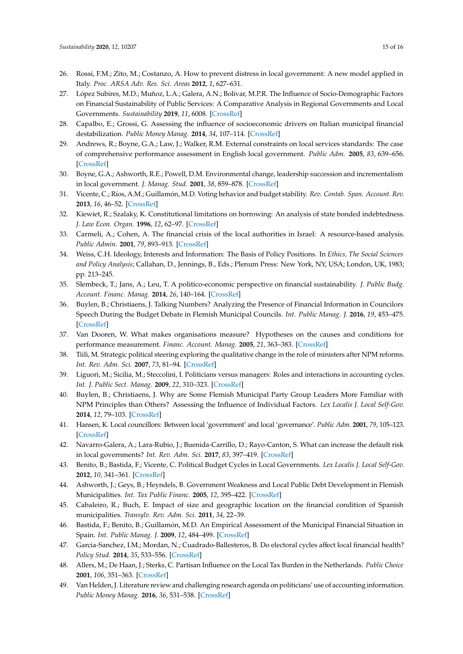- <span id="page-14-0"></span>26. Rossi, F.M.; Zito, M.; Costanzo, A. How to prevent distress in local government: A new model applied in Italy. *Proc. ARSA Adv. Res. Sci. Areas* **2012**, *1*, 627–631.
- <span id="page-14-1"></span>27. López Subires, M.D.; Muñoz, L.A.; Galera, A.N.; Bolívar, M.P.R. The Influence of Socio-Demographic Factors on Financial Sustainability of Public Services: A Comparative Analysis in Regional Governments and Local Governments. *Sustainability* **2019**, *11*, 6008. [\[CrossRef\]](http://dx.doi.org/10.3390/su11216008)
- <span id="page-14-2"></span>28. Capalbo, E.; Grossi, G. Assessing the influence of socioeconomic drivers on Italian municipal financial destabilization. *Public Money Manag.* **2014**, *34*, 107–114. [\[CrossRef\]](http://dx.doi.org/10.1080/09540962.2014.887518)
- 29. Andrews, R.; Boyne, G.A.; Law, J.; Walker, R.M. External constraints on local services standards: The case of comprehensive performance assessment in English local government. *Public Adm.* **2005**, *83*, 639–656. [\[CrossRef\]](http://dx.doi.org/10.1111/j.0033-3298.2005.00466.x)
- <span id="page-14-3"></span>30. Boyne, G.A.; Ashworth, R.E.; Powell, D.M. Environmental change, leadership succession and incrementalism in local government. *J. Manag. Stud.* **2001**, *38*, 859–878. [\[CrossRef\]](http://dx.doi.org/10.1111/1467-6486.00262)
- <span id="page-14-4"></span>31. Vicente, C.; Ríos, A.M.; Guillamón, M.D. Voting behavior and budget stability. *Rev. Contab. Span. Account. Rev.* **2013**, *16*, 46–52. [\[CrossRef\]](http://dx.doi.org/10.1016/S1138-4891(13)70005-0)
- <span id="page-14-5"></span>32. Kiewiet, R.; Szalaky, K. Constitutional limitations on borrowing: An analysis of state bonded indebtedness. *J. Law Econ. Organ.* **1996**, *12*, 62–97. [\[CrossRef\]](http://dx.doi.org/10.1093/oxfordjournals.jleo.a023362)
- <span id="page-14-6"></span>33. Carmeli, A.; Cohen, A. The financial crisis of the local authorities in Israel: A resource-based analysis. *Public Admin.* **2001**, *79*, 893–913. [\[CrossRef\]](http://dx.doi.org/10.1111/1467-9299.00285)
- <span id="page-14-7"></span>34. Weiss, C.H. Ideology, Interests and Information: The Basis of Policy Positions. In *Ethics, The Social Sciences and Policy Analysis*; Callahan, D., Jennings, B., Eds.; Plenum Press: New York, NY, USA; London, UK, 1983; pp. 213–245.
- <span id="page-14-8"></span>35. Slembeck, T.; Jans, A.; Leu, T. A politico-economic perspective on financial sustainability. *J. Public Budg. Account. Financ. Manag.* **2014**, *26*, 140–164. [\[CrossRef\]](http://dx.doi.org/10.1108/JPBAFM-26-01-2014-B006)
- <span id="page-14-9"></span>36. Buylen, B.; Christiaens, J. Talking Numbers? Analyzing the Presence of Financial Information in Councilors Speech During the Budget Debate in Flemish Municipal Councils. *Int. Public Manag. J.* **2016**, *19*, 453–475. [\[CrossRef\]](http://dx.doi.org/10.1080/10967494.2015.1064502)
- 37. Van Dooren, W. What makes organisations measure? Hypotheses on the causes and conditions for performance measurement. *Financ. Account. Manag.* **2005**, *21*, 363–383. [\[CrossRef\]](http://dx.doi.org/10.1111/j.0267-4424.2005.00225.x)
- <span id="page-14-13"></span>38. Tiili, M. Strategic political steering exploring the qualitative change in the role of ministers after NPM reforms. *Int. Rev. Adm. Sci.* **2007**, *73*, 81–94. [\[CrossRef\]](http://dx.doi.org/10.1177/0020852307075691)
- <span id="page-14-10"></span>39. Liguori, M.; Sicilia, M.; Steccolini, I. Politicians versus managers: Roles and interactions in accounting cycles. *Int. J. Public Sect. Manag.* **2009**, *22*, 310–323. [\[CrossRef\]](http://dx.doi.org/10.1108/09513550910961592)
- <span id="page-14-11"></span>40. Buylen, B.; Christiaens, J. Why are Some Flemish Municipal Party Group Leaders More Familiar with NPM Principles than Others? Assessing the Influence of Individual Factors. *Lex Localis J. Local Self-Gov.* **2014**, *12*, 79–103. [\[CrossRef\]](http://dx.doi.org/10.4335/12.1.79-103(2014))
- <span id="page-14-12"></span>41. Hansen, K. Local councillors: Between local 'government' and local 'governance'. *Public Adm.* **2001**, *79*, 105–123. [\[CrossRef\]](http://dx.doi.org/10.1111/1467-9299.00248)
- <span id="page-14-14"></span>42. Navarro-Galera, A.; Lara-Rubio, J.; Buenida-Carrillo, D.; Rayo-Canton, S. What can increase the default risk in local governments? *Int. Rev. Adm. Sci.* **2017**, *83*, 397–419. [\[CrossRef\]](http://dx.doi.org/10.1177/0020852315586308)
- 43. Benito, B.; Bastida, F.; Vicente, C. Political Budget Cycles in Local Governments. *Lex Localis J. Local Self-Gov.* **2012**, *10*, 341–361. [\[CrossRef\]](http://dx.doi.org/10.4335/10.4.341-361(2012))
- <span id="page-14-15"></span>44. Ashworth, J.; Geys, B.; Heyndels, B. Government Weakness and Local Public Debt Development in Flemish Municipalities. *Int. Tax Public Financ.* **2005**, *12*, 395–422. [\[CrossRef\]](http://dx.doi.org/10.1007/s10797-005-2317-3)
- <span id="page-14-16"></span>45. Cabaleiro, R.; Buch, E. Impact of size and geographic location on the financial condition of Spanish municipalities. *Transylv. Rev. Adm. Sci.* **2011**, *34*, 22–39.
- <span id="page-14-17"></span>46. Bastida, F.; Benito, B.; Guillamón, M.D. An Empirical Assessment of the Municipal Financial Situation in Spain. *Int. Public Manag. J.* **2009**, *12*, 484–499. [\[CrossRef\]](http://dx.doi.org/10.1080/10967490903328139)
- <span id="page-14-18"></span>47. Garcia-Sanchez, I.M.; Mordan, N.; Cuadrado-Ballesteros, B. Do electoral cycles affect local financial health? *Policy Stud.* **2014**, *35*, 533–556. [\[CrossRef\]](http://dx.doi.org/10.1080/01442872.2014.971727)
- <span id="page-14-19"></span>48. Allers, M.; De Haan, J.; Sterks, C. Partisan Influence on the Local Tax Burden in the Netherlands. *Public Choice* **2001**, *106*, 351–363. [\[CrossRef\]](http://dx.doi.org/10.1023/A:1005123208352)
- <span id="page-14-20"></span>49. Van Helden, J. Literature review and challenging research agenda on politicians' use of accounting information. *Public Money Manag.* **2016**, *36*, 531–538. [\[CrossRef\]](http://dx.doi.org/10.1080/09540962.2016.1237162)